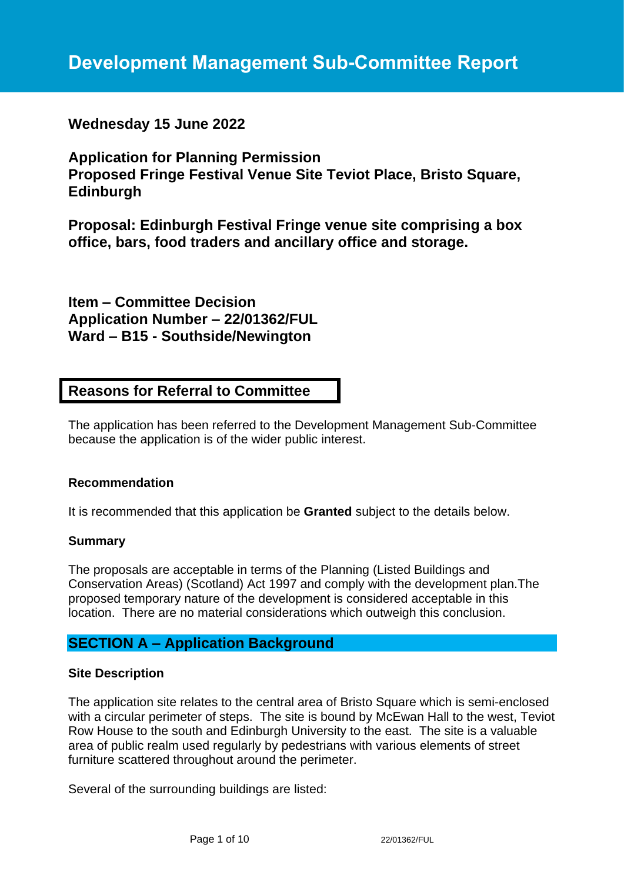# **Development Management Sub-Committee Report**

# **Wednesday 15 June 2022**

**Application for Planning Permission Proposed Fringe Festival Venue Site Teviot Place, Bristo Square, Edinburgh**

**Proposal: Edinburgh Festival Fringe venue site comprising a box office, bars, food traders and ancillary office and storage.**

**Item – Committee Decision Application Number – 22/01362/FUL Ward – B15 - Southside/Newington**

# **Reasons for Referral to Committee**

The application has been referred to the Development Management Sub-Committee because the application is of the wider public interest.

#### **Recommendation**

It is recommended that this application be **Granted** subject to the details below.

#### **Summary**

The proposals are acceptable in terms of the Planning (Listed Buildings and Conservation Areas) (Scotland) Act 1997 and comply with the development plan.The proposed temporary nature of the development is considered acceptable in this location. There are no material considerations which outweigh this conclusion.

# **SECTION A – Application Background**

#### **Site Description**

The application site relates to the central area of Bristo Square which is semi-enclosed with a circular perimeter of steps. The site is bound by McEwan Hall to the west, Teviot Row House to the south and Edinburgh University to the east. The site is a valuable area of public realm used regularly by pedestrians with various elements of street furniture scattered throughout around the perimeter.

Several of the surrounding buildings are listed: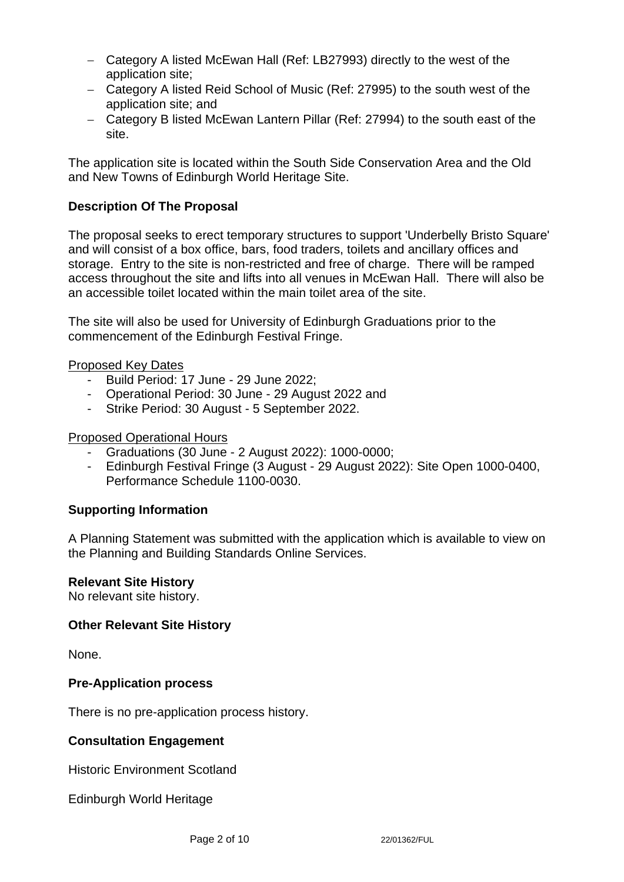- − Category A listed McEwan Hall (Ref: LB27993) directly to the west of the application site;
- − Category A listed Reid School of Music (Ref: 27995) to the south west of the application site; and
- − Category B listed McEwan Lantern Pillar (Ref: 27994) to the south east of the site.

The application site is located within the South Side Conservation Area and the Old and New Towns of Edinburgh World Heritage Site.

# **Description Of The Proposal**

The proposal seeks to erect temporary structures to support 'Underbelly Bristo Square' and will consist of a box office, bars, food traders, toilets and ancillary offices and storage. Entry to the site is non-restricted and free of charge. There will be ramped access throughout the site and lifts into all venues in McEwan Hall. There will also be an accessible toilet located within the main toilet area of the site.

The site will also be used for University of Edinburgh Graduations prior to the commencement of the Edinburgh Festival Fringe.

Proposed Key Dates

- Build Period: 17 June 29 June 2022;
- Operational Period: 30 June 29 August 2022 and
- Strike Period: 30 August 5 September 2022.

#### Proposed Operational Hours

- Graduations (30 June 2 August 2022): 1000-0000;
- Edinburgh Festival Fringe (3 August 29 August 2022): Site Open 1000-0400, Performance Schedule 1100-0030.

## **Supporting Information**

A Planning Statement was submitted with the application which is available to view on the Planning and Building Standards Online Services.

#### **Relevant Site History**

No relevant site history.

#### **Other Relevant Site History**

None.

#### **Pre-Application process**

There is no pre-application process history.

#### **Consultation Engagement**

Historic Environment Scotland

Edinburgh World Heritage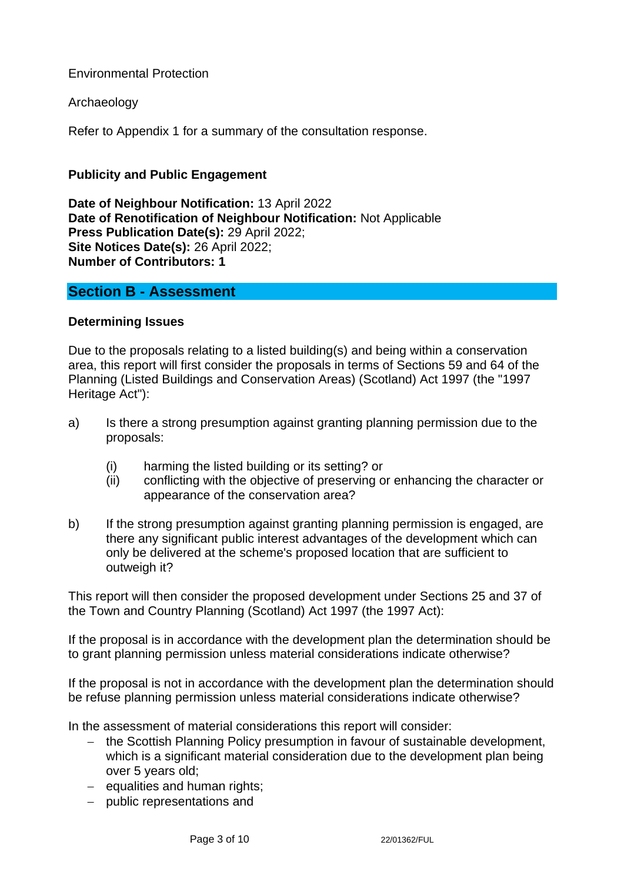# Environmental Protection

## Archaeology

Refer to Appendix 1 for a summary of the consultation response.

## **Publicity and Public Engagement**

**Date of Neighbour Notification:** 13 April 2022 **Date of Renotification of Neighbour Notification:** Not Applicable **Press Publication Date(s):** 29 April 2022; **Site Notices Date(s):** 26 April 2022; **Number of Contributors: 1**

## **Section B - Assessment**

#### **Determining Issues**

Due to the proposals relating to a listed building(s) and being within a conservation area, this report will first consider the proposals in terms of Sections 59 and 64 of the Planning (Listed Buildings and Conservation Areas) (Scotland) Act 1997 (the "1997 Heritage Act"):

- a) Is there a strong presumption against granting planning permission due to the proposals:
	- (i) harming the listed building or its setting? or
	- (ii) conflicting with the objective of preserving or enhancing the character or appearance of the conservation area?
- b) If the strong presumption against granting planning permission is engaged, are there any significant public interest advantages of the development which can only be delivered at the scheme's proposed location that are sufficient to outweigh it?

This report will then consider the proposed development under Sections 25 and 37 of the Town and Country Planning (Scotland) Act 1997 (the 1997 Act):

If the proposal is in accordance with the development plan the determination should be to grant planning permission unless material considerations indicate otherwise?

If the proposal is not in accordance with the development plan the determination should be refuse planning permission unless material considerations indicate otherwise?

In the assessment of material considerations this report will consider:

- − the Scottish Planning Policy presumption in favour of sustainable development, which is a significant material consideration due to the development plan being over 5 years old;
- − equalities and human rights;
- − public representations and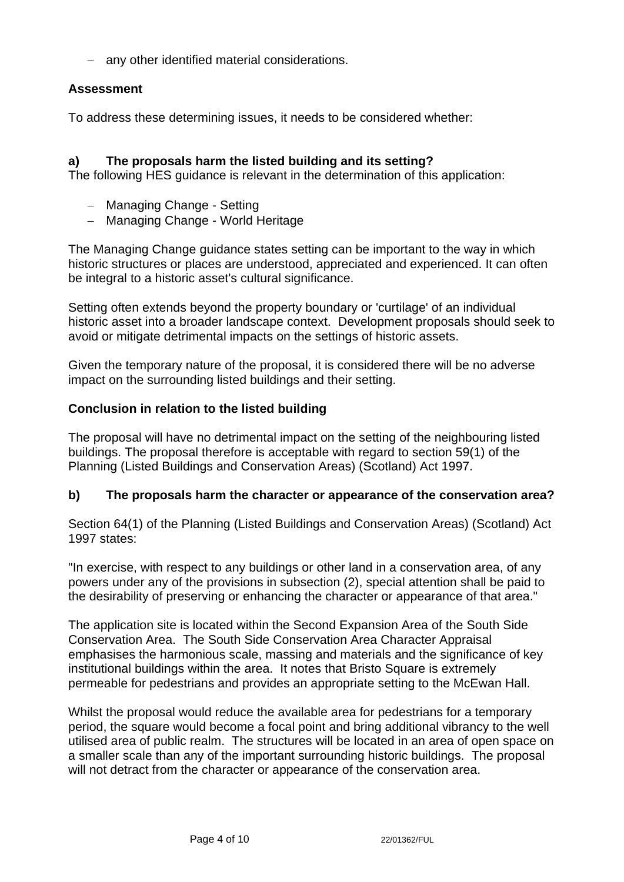− any other identified material considerations.

# **Assessment**

To address these determining issues, it needs to be considered whether:

## **a) The proposals harm the listed building and its setting?**

The following HES guidance is relevant in the determination of this application:

- − Managing Change Setting
- − Managing Change World Heritage

The Managing Change guidance states setting can be important to the way in which historic structures or places are understood, appreciated and experienced. It can often be integral to a historic asset's cultural significance.

Setting often extends beyond the property boundary or 'curtilage' of an individual historic asset into a broader landscape context. Development proposals should seek to avoid or mitigate detrimental impacts on the settings of historic assets.

Given the temporary nature of the proposal, it is considered there will be no adverse impact on the surrounding listed buildings and their setting.

## **Conclusion in relation to the listed building**

The proposal will have no detrimental impact on the setting of the neighbouring listed buildings. The proposal therefore is acceptable with regard to section 59(1) of the Planning (Listed Buildings and Conservation Areas) (Scotland) Act 1997.

## **b) The proposals harm the character or appearance of the conservation area?**

Section 64(1) of the Planning (Listed Buildings and Conservation Areas) (Scotland) Act 1997 states:

"In exercise, with respect to any buildings or other land in a conservation area, of any powers under any of the provisions in subsection (2), special attention shall be paid to the desirability of preserving or enhancing the character or appearance of that area."

The application site is located within the Second Expansion Area of the South Side Conservation Area. The South Side Conservation Area Character Appraisal emphasises the harmonious scale, massing and materials and the significance of key institutional buildings within the area. It notes that Bristo Square is extremely permeable for pedestrians and provides an appropriate setting to the McEwan Hall.

Whilst the proposal would reduce the available area for pedestrians for a temporary period, the square would become a focal point and bring additional vibrancy to the well utilised area of public realm. The structures will be located in an area of open space on a smaller scale than any of the important surrounding historic buildings. The proposal will not detract from the character or appearance of the conservation area.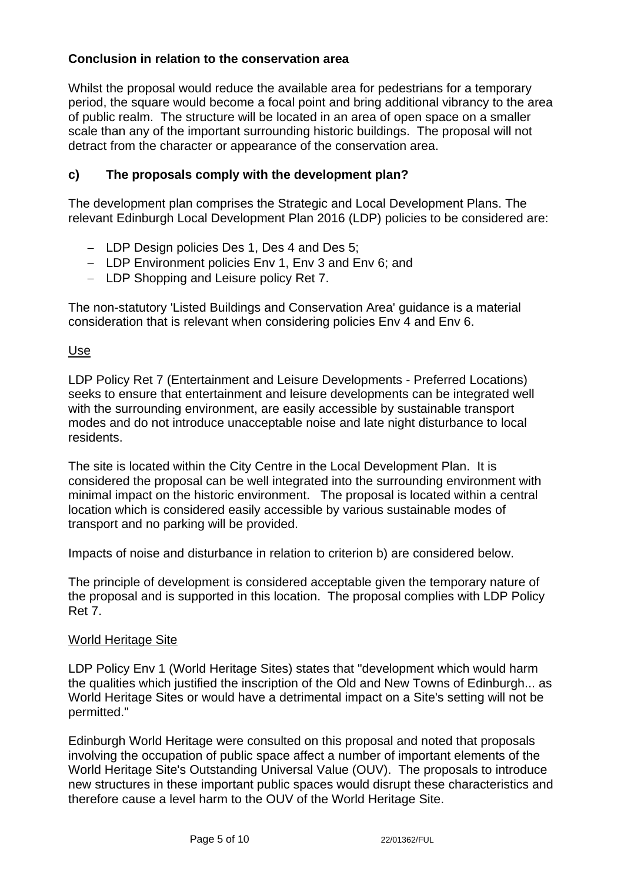# **Conclusion in relation to the conservation area**

Whilst the proposal would reduce the available area for pedestrians for a temporary period, the square would become a focal point and bring additional vibrancy to the area of public realm. The structure will be located in an area of open space on a smaller scale than any of the important surrounding historic buildings. The proposal will not detract from the character or appearance of the conservation area.

# **c) The proposals comply with the development plan?**

The development plan comprises the Strategic and Local Development Plans. The relevant Edinburgh Local Development Plan 2016 (LDP) policies to be considered are:

- − LDP Design policies Des 1, Des 4 and Des 5;
- − LDP Environment policies Env 1, Env 3 and Env 6; and
- − LDP Shopping and Leisure policy Ret 7.

The non-statutory 'Listed Buildings and Conservation Area' guidance is a material consideration that is relevant when considering policies Env 4 and Env 6.

# Use

LDP Policy Ret 7 (Entertainment and Leisure Developments - Preferred Locations) seeks to ensure that entertainment and leisure developments can be integrated well with the surrounding environment, are easily accessible by sustainable transport modes and do not introduce unacceptable noise and late night disturbance to local residents.

The site is located within the City Centre in the Local Development Plan. It is considered the proposal can be well integrated into the surrounding environment with minimal impact on the historic environment. The proposal is located within a central location which is considered easily accessible by various sustainable modes of transport and no parking will be provided.

Impacts of noise and disturbance in relation to criterion b) are considered below.

The principle of development is considered acceptable given the temporary nature of the proposal and is supported in this location. The proposal complies with LDP Policy Ret 7.

## World Heritage Site

LDP Policy Env 1 (World Heritage Sites) states that "development which would harm the qualities which justified the inscription of the Old and New Towns of Edinburgh... as World Heritage Sites or would have a detrimental impact on a Site's setting will not be permitted."

Edinburgh World Heritage were consulted on this proposal and noted that proposals involving the occupation of public space affect a number of important elements of the World Heritage Site's Outstanding Universal Value (OUV). The proposals to introduce new structures in these important public spaces would disrupt these characteristics and therefore cause a level harm to the OUV of the World Heritage Site.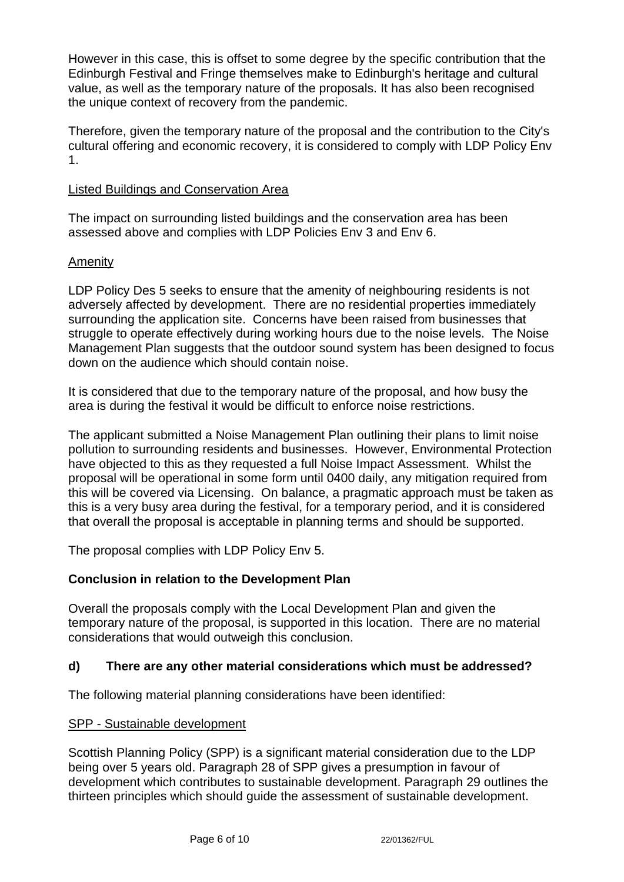However in this case, this is offset to some degree by the specific contribution that the Edinburgh Festival and Fringe themselves make to Edinburgh's heritage and cultural value, as well as the temporary nature of the proposals. It has also been recognised the unique context of recovery from the pandemic.

Therefore, given the temporary nature of the proposal and the contribution to the City's cultural offering and economic recovery, it is considered to comply with LDP Policy Env 1.

#### Listed Buildings and Conservation Area

The impact on surrounding listed buildings and the conservation area has been assessed above and complies with LDP Policies Env 3 and Env 6.

## Amenity

LDP Policy Des 5 seeks to ensure that the amenity of neighbouring residents is not adversely affected by development. There are no residential properties immediately surrounding the application site. Concerns have been raised from businesses that struggle to operate effectively during working hours due to the noise levels. The Noise Management Plan suggests that the outdoor sound system has been designed to focus down on the audience which should contain noise.

It is considered that due to the temporary nature of the proposal, and how busy the area is during the festival it would be difficult to enforce noise restrictions.

The applicant submitted a Noise Management Plan outlining their plans to limit noise pollution to surrounding residents and businesses. However, Environmental Protection have objected to this as they requested a full Noise Impact Assessment. Whilst the proposal will be operational in some form until 0400 daily, any mitigation required from this will be covered via Licensing. On balance, a pragmatic approach must be taken as this is a very busy area during the festival, for a temporary period, and it is considered that overall the proposal is acceptable in planning terms and should be supported.

The proposal complies with LDP Policy Env 5.

## **Conclusion in relation to the Development Plan**

Overall the proposals comply with the Local Development Plan and given the temporary nature of the proposal, is supported in this location. There are no material considerations that would outweigh this conclusion.

## **d) There are any other material considerations which must be addressed?**

The following material planning considerations have been identified:

#### SPP - Sustainable development

Scottish Planning Policy (SPP) is a significant material consideration due to the LDP being over 5 years old. Paragraph 28 of SPP gives a presumption in favour of development which contributes to sustainable development. Paragraph 29 outlines the thirteen principles which should guide the assessment of sustainable development.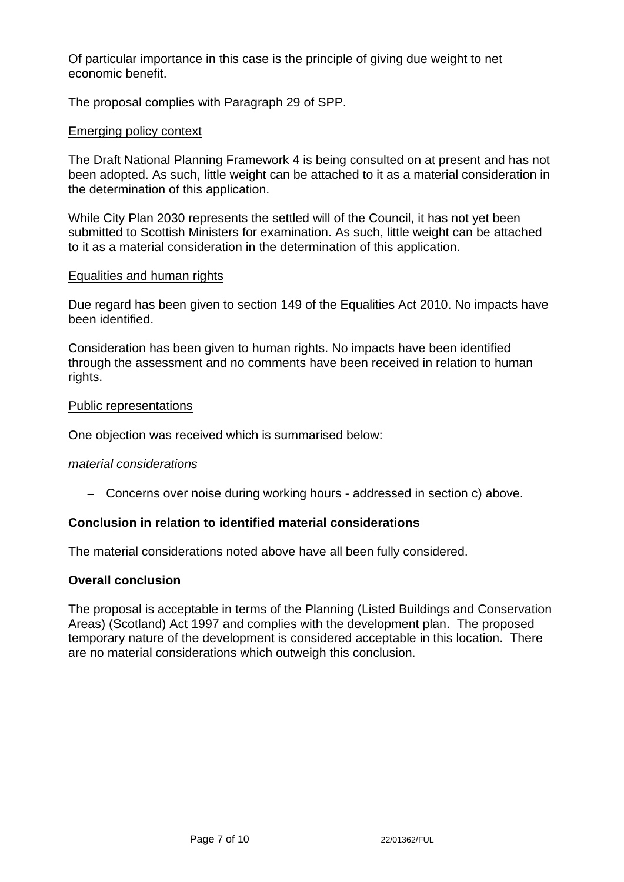Of particular importance in this case is the principle of giving due weight to net economic benefit.

The proposal complies with Paragraph 29 of SPP.

## Emerging policy context

The Draft National Planning Framework 4 is being consulted on at present and has not been adopted. As such, little weight can be attached to it as a material consideration in the determination of this application.

While City Plan 2030 represents the settled will of the Council, it has not yet been submitted to Scottish Ministers for examination. As such, little weight can be attached to it as a material consideration in the determination of this application.

#### Equalities and human rights

Due regard has been given to section 149 of the Equalities Act 2010. No impacts have been identified.

Consideration has been given to human rights. No impacts have been identified through the assessment and no comments have been received in relation to human rights.

#### Public representations

One objection was received which is summarised below:

#### *material considerations*

− Concerns over noise during working hours - addressed in section c) above.

# **Conclusion in relation to identified material considerations**

The material considerations noted above have all been fully considered.

#### **Overall conclusion**

The proposal is acceptable in terms of the Planning (Listed Buildings and Conservation Areas) (Scotland) Act 1997 and complies with the development plan. The proposed temporary nature of the development is considered acceptable in this location. There are no material considerations which outweigh this conclusion.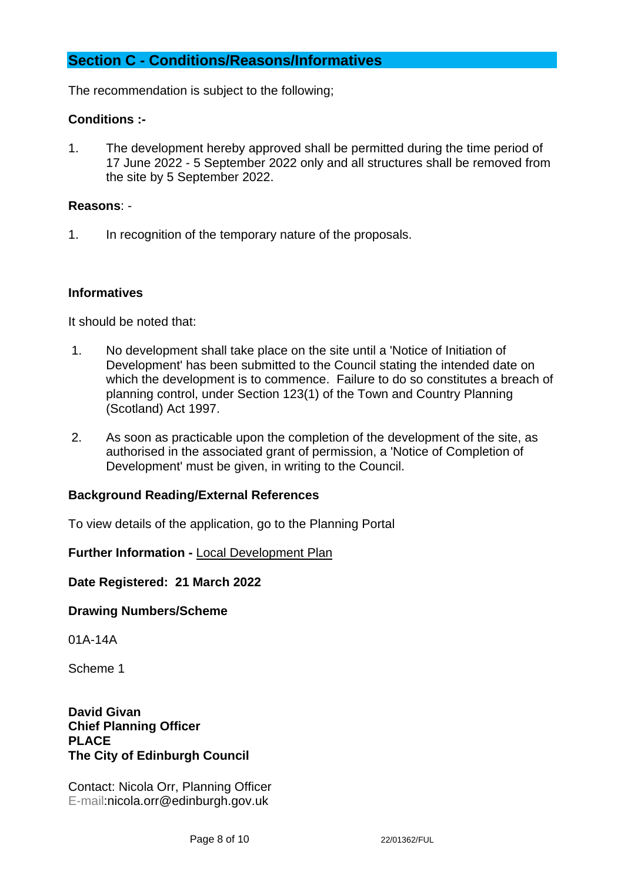# **Section C - Conditions/Reasons/Informatives**

The recommendation is subject to the following;

# **Conditions :-**

1. The development hereby approved shall be permitted during the time period of 17 June 2022 - 5 September 2022 only and all structures shall be removed from the site by 5 September 2022.

## **Reasons**: -

1. In recognition of the temporary nature of the proposals.

# **Informatives**

It should be noted that:

- 1. No development shall take place on the site until a 'Notice of Initiation of Development' has been submitted to the Council stating the intended date on which the development is to commence. Failure to do so constitutes a breach of planning control, under Section 123(1) of the Town and Country Planning (Scotland) Act 1997.
- 2. As soon as practicable upon the completion of the development of the site, as authorised in the associated grant of permission, a 'Notice of Completion of Development' must be given, in writing to the Council.

## **Background Reading/External References**

To view details of the application, go to the Planning Portal

## **Further Information -** [Local Development Plan](https://www.edinburgh.gov.uk/local-development-plan-guidance-1/edinburgh-local-development-plan/1)

**Date Registered: 21 March 2022**

#### **Drawing Numbers/Scheme**

01A-14A

Scheme 1

**David Givan Chief Planning Officer PLACE The City of Edinburgh Council**

Contact: Nicola Orr, Planning Officer E-mail:nicola.orr@edinburgh.gov.uk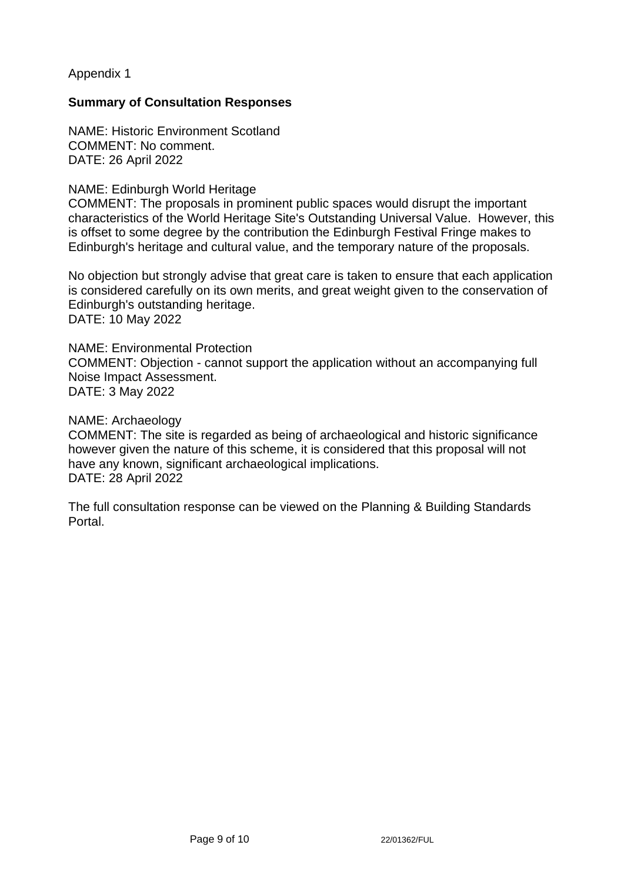Appendix 1

## **Summary of Consultation Responses**

NAME: Historic Environment Scotland COMMENT: No comment. DATE: 26 April 2022

#### NAME: Edinburgh World Heritage

COMMENT: The proposals in prominent public spaces would disrupt the important characteristics of the World Heritage Site's Outstanding Universal Value. However, this is offset to some degree by the contribution the Edinburgh Festival Fringe makes to Edinburgh's heritage and cultural value, and the temporary nature of the proposals.

No objection but strongly advise that great care is taken to ensure that each application is considered carefully on its own merits, and great weight given to the conservation of Edinburgh's outstanding heritage. DATE: 10 May 2022

## NAME: Environmental Protection

COMMENT: Objection - cannot support the application without an accompanying full Noise Impact Assessment. DATE: 3 May 2022

#### NAME: Archaeology

COMMENT: The site is regarded as being of archaeological and historic significance however given the nature of this scheme, it is considered that this proposal will not have any known, significant archaeological implications. DATE: 28 April 2022

The full consultation response can be viewed on the Planning & Building Standards Portal.